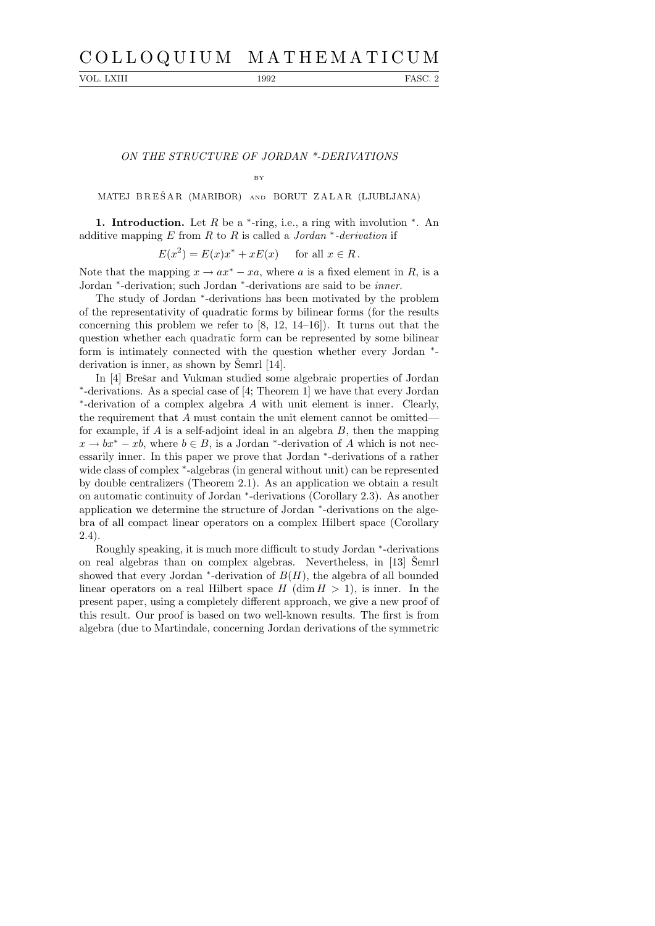## C O L L O Q U I U M M A T H E M A T I C U M

VOL. LXIII 1992 FASC. 2

ON THE STRUCTURE OF JORDAN \*-DERIVATIONS

BY

MATEJ BREŠAR (MARIBOR) AND BORUT ZALAR (LJUBLJANA)

1. Introduction. Let  $R$  be a  $*$ -ring, i.e., a ring with involution  $*$ . An additive mapping  $E$  from  $R$  to  $R$  is called a Jordan  $*$ -derivation if

 $E(x^2) = E(x)x^* + xE(x)$  for all  $x \in R$ .

Note that the mapping  $x \to ax^* - xa$ , where a is a fixed element in R, is a Jordan \*-derivation; such Jordan \*-derivations are said to be *inner*.

The study of Jordan \*-derivations has been motivated by the problem of the representativity of quadratic forms by bilinear forms (for the results concerning this problem we refer to  $[8, 12, 14-16]$ . It turns out that the question whether each quadratic form can be represented by some bilinear form is intimately connected with the question whether every Jordan \*derivation is inner, as shown by Semrl  $[14]$ .

In [4] Brešar and Vukman studied some algebraic properties of Jordan ∗ -derivations. As a special case of [4; Theorem 1] we have that every Jordan ∗ -derivation of a complex algebra A with unit element is inner. Clearly, the requirement that A must contain the unit element cannot be omitted for example, if  $A$  is a self-adjoint ideal in an algebra  $B$ , then the mapping  $x \to bx^* - xb$ , where  $b \in B$ , is a Jordan <sup>\*</sup>-derivation of A which is not necessarily inner. In this paper we prove that Jordan <sup>∗</sup> -derivations of a rather wide class of complex \*-algebras (in general without unit) can be represented by double centralizers (Theorem 2.1). As an application we obtain a result on automatic continuity of Jordan <sup>∗</sup> -derivations (Corollary 2.3). As another application we determine the structure of Jordan <sup>∗</sup> -derivations on the algebra of all compact linear operators on a complex Hilbert space (Corollary 2.4).

Roughly speaking, it is much more difficult to study Jordan  $*$ -derivations on real algebras than on complex algebras. Nevertheless, in [13] Semrl showed that every Jordan  $*$ -derivation of  $B(H)$ , the algebra of all bounded linear operators on a real Hilbert space  $H$  (dim  $H > 1$ ), is inner. In the present paper, using a completely different approach, we give a new proof of this result. Our proof is based on two well-known results. The first is from algebra (due to Martindale, concerning Jordan derivations of the symmetric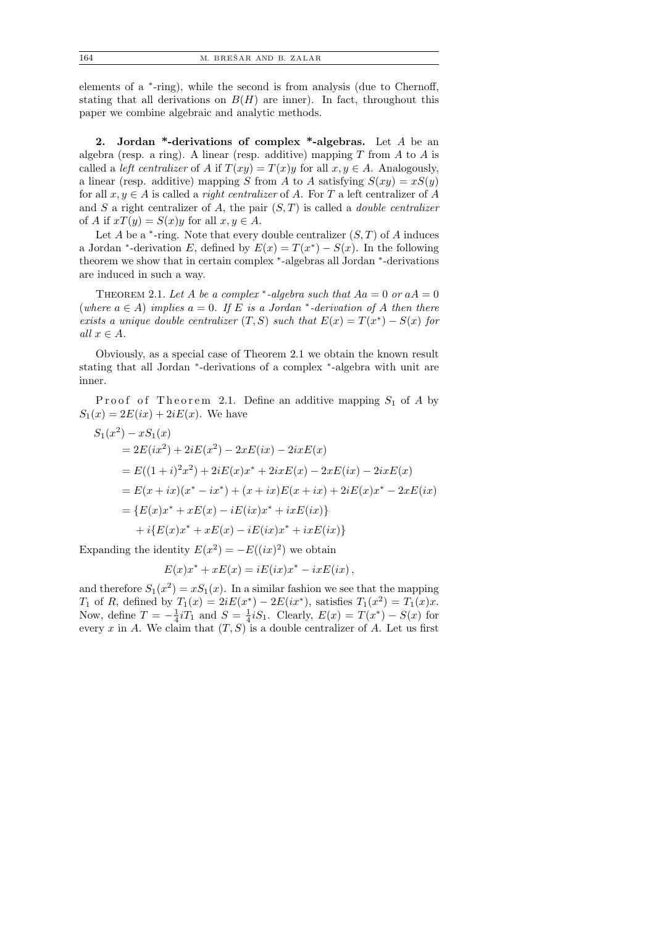elements of a <sup>\*</sup>-ring), while the second is from analysis (due to Chernoff, stating that all derivations on  $B(H)$  are inner). In fact, throughout this paper we combine algebraic and analytic methods.

2. Jordan \*-derivations of complex \*-algebras. Let  $A$  be an algebra (resp. a ring). A linear (resp. additive) mapping  $T$  from  $A$  to  $A$  is called a *left centralizer* of A if  $T(xy) = T(x)y$  for all  $x, y \in A$ . Analogously, a linear (resp. additive) mapping S from A to A satisfying  $S(xy) = xS(y)$ for all  $x, y \in A$  is called a *right centralizer* of A. For T a left centralizer of A and S a right centralizer of A, the pair  $(S, T)$  is called a *double centralizer* of A if  $xT(y) = S(x)y$  for all  $x, y \in A$ .

Let  $A$  be a  $*$ -ring. Note that every double centralizer  $(S, T)$  of  $A$  induces a Jordan <sup>\*</sup>-derivation E, defined by  $E(x) = T(x^*) - S(x)$ . In the following theorem we show that in certain complex \*-algebras all Jordan \*-derivations are induced in such a way.

THEOREM 2.1. Let A be a complex \*-algebra such that  $Aa = 0$  or  $aA = 0$ (where  $a \in A$ ) implies  $a = 0$ . If E is a Jordan \*-derivation of A then there exists a unique double centralizer  $(T, S)$  such that  $E(x) = T(x^*) - S(x)$  for all  $x \in A$ .

Obviously, as a special case of Theorem 2.1 we obtain the known result stating that all Jordan <sup>\*</sup>-derivations of a complex <sup>\*</sup>-algebra with unit are inner.

Proof of Theorem 2.1. Define an additive mapping  $S_1$  of A by  $S_1(x) = 2E(ix) + 2iE(x)$ . We have

$$
S_1(x^2) - xS_1(x)
$$
  
=  $2E(ix^2) + 2iE(x^2) - 2xE(ix) - 2ixE(x)$   
=  $E((1+i)^2x^2) + 2iE(x)x^* + 2ixE(x) - 2xE(ix) - 2ixE(x)$   
=  $E(x + ix)(x^* - ix^*) + (x + ix)E(x + ix) + 2iE(x)x^* - 2xE(ix)$   
=  $\{E(x)x^* + xE(x) - iE(ix)x^* + ixE(ix)\}$   
+  $i\{E(x)x^* + xE(x) - iE(ix)x^* + ixE(ix)\}$ 

Expanding the identity  $E(x^2) = -E((ix)^2)$  we obtain

$$
E(x)x^* + xE(x) = iE(ix)x^* - ixE(ix),
$$

and therefore  $S_1(x^2) = xS_1(x)$ . In a similar fashion we see that the mapping  $T_1$  of R, defined by  $T_1(x) = 2iE(x^*) - 2E(ix^*)$ , satisfies  $T_1(x^2) = T_1(x)x$ . Now, define  $T = -\frac{1}{4}$  $\frac{1}{4}iT_1$  and  $S=\frac{1}{4}$  $\frac{1}{4}$ *i*S<sub>1</sub>. Clearly,  $E(x) = T(x^*) - S(x)$  for every x in A. We claim that  $(T, S)$  is a double centralizer of A. Let us first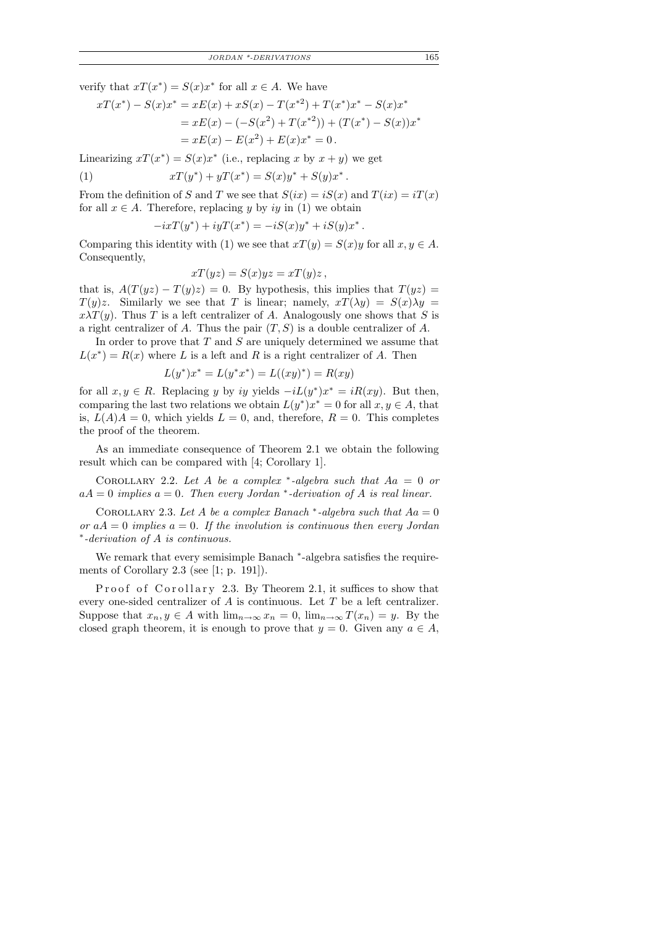verify that  $xT(x^*) = S(x)x^*$  for all  $x \in A$ . We have

$$
xT(x^*) - S(x)x^* = xE(x) + xS(x) - T(x^{*2}) + T(x^*)x^* - S(x)x^*
$$
  
=  $xE(x) - (-S(x^2) + T(x^{*2})) + (T(x^*) - S(x))x^*$   
=  $xE(x) - E(x^2) + E(x)x^* = 0$ .

Linearizing  $xT(x^*) = S(x)x^*$  (i.e., replacing x by  $x + y$ ) we get

(1) 
$$
xT(y^*) + yT(x^*) = S(x)y^* + S(y)x^*.
$$

From the definition of S and T we see that  $S(ix) = iS(x)$  and  $T(ix) = iT(x)$ for all  $x \in A$ . Therefore, replacing y by iy in (1) we obtain

$$
-ixT(y^*) + iyT(x^*) = -iS(x)y^* + iS(y)x^*.
$$

Comparing this identity with (1) we see that  $xT(y) = S(x)y$  for all  $x, y \in A$ . Consequently,

$$
xT(yz) = S(x)yz = xT(y)z,
$$

that is,  $A(T(yz) - T(y)z) = 0$ . By hypothesis, this implies that  $T(yz) =$  $T(y)z$ . Similarly we see that T is linear; namely,  $xT(\lambda y) = S(x)\lambda y =$  $x\lambda T(y)$ . Thus T is a left centralizer of A. Analogously one shows that S is a right centralizer of A. Thus the pair  $(T, S)$  is a double centralizer of A.

In order to prove that  $T$  and  $S$  are uniquely determined we assume that  $L(x^*) = R(x)$  where L is a left and R is a right centralizer of A. Then

$$
L(y^*)x^* = L(y^*x^*) = L((xy)^*) = R(xy)
$$

for all  $x, y \in R$ . Replacing y by iy yields  $-iL(y^*)x^* = iR(xy)$ . But then, comparing the last two relations we obtain  $L(y^*)x^* = 0$  for all  $x, y \in A$ , that is,  $L(A)A = 0$ , which yields  $L = 0$ , and, therefore,  $R = 0$ . This completes the proof of the theorem.

As an immediate consequence of Theorem 2.1 we obtain the following result which can be compared with [4; Corollary 1].

COROLLARY 2.2. Let A be a complex \*-algebra such that  $Aa = 0$  or  $aA = 0$  implies  $a = 0$ . Then every Jordan \*-derivation of A is real linear.

COROLLARY 2.3. Let A be a complex Banach  $*$ -algebra such that  $Aa = 0$ or  $aA = 0$  implies  $a = 0$ . If the involution is continuous then every Jordan ∗ -derivation of A is continuous.

We remark that every semisimple Banach \*-algebra satisfies the requirements of Corollary 2.3 (see [1; p. 191]).

Proof of Corollary 2.3. By Theorem 2.1, it suffices to show that every one-sided centralizer of A is continuous. Let T be a left centralizer. Suppose that  $x_n, y \in A$  with  $\lim_{n\to\infty} x_n = 0$ ,  $\lim_{n\to\infty} T(x_n) = y$ . By the closed graph theorem, it is enough to prove that  $y = 0$ . Given any  $a \in A$ ,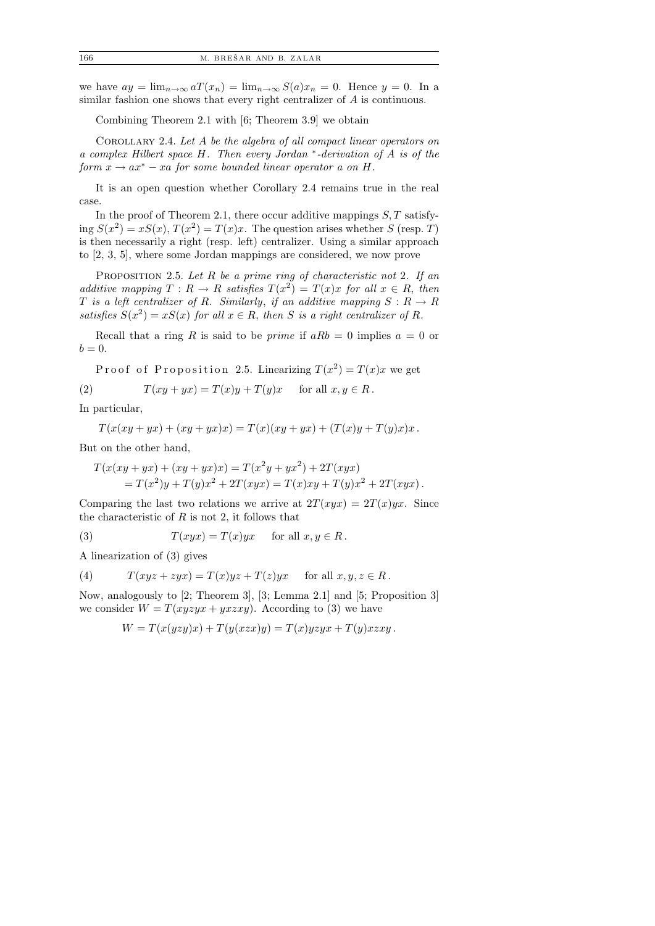we have  $ay = \lim_{n \to \infty} aT(x_n) = \lim_{n \to \infty} S(a)x_n = 0$ . Hence  $y = 0$ . In a similar fashion one shows that every right centralizer of A is continuous.

Combining Theorem 2.1 with [6; Theorem 3.9] we obtain

COROLLARY 2.4. Let A be the algebra of all compact linear operators on a complex Hilbert space H. Then every Jordan <sup>∗</sup> -derivation of A is of the form  $x \to ax^* - xa$  for some bounded linear operator a on H.

It is an open question whether Corollary 2.4 remains true in the real case.

In the proof of Theorem 2.1, there occur additive mappings  $S, T$  satisfying  $S(x^2) = xS(x)$ ,  $T(x^2) = T(x)x$ . The question arises whether S (resp. T) is then necessarily a right (resp. left) centralizer. Using a similar approach to [2, 3, 5], where some Jordan mappings are considered, we now prove

PROPOSITION 2.5. Let  $R$  be a prime ring of characteristic not 2. If an additive mapping  $T: R \to R$  satisfies  $T(x^2) = T(x)x$  for all  $x \in R$ , then T is a left centralizer of R. Similarly, if an additive mapping  $S: R \to R$ satisfies  $S(x^2) = xS(x)$  for all  $x \in R$ , then S is a right centralizer of R.

Recall that a ring R is said to be *prime* if  $aRb = 0$  implies  $a = 0$  or  $b=0.$ 

Proof of Proposition 2.5. Linearizing  $T(x^2) = T(x)x$  we get (2)  $T(xy + yx) = T(x)y + T(y)x$  for all  $x, y \in R$ .

In particular,

$$
T(x(xy + yx) + (xy + yx)x) = T(x)(xy + yx) + (T(x)y + T(y)x)x.
$$

But on the other hand,

$$
T(x(xy + yx) + (xy + yx)x) = T(x2y + yx2) + 2T(xyx)
$$
  
=  $T(x2)y + T(y)x2 + 2T(xyx) = T(x)xy + T(y)x2 + 2T(xyx).$ 

Comparing the last two relations we arrive at  $2T(xyx) = 2T(x)yx$ . Since the characteristic of  $R$  is not 2, it follows that

(3) 
$$
T(xyx) = T(x)yx \text{ for all } x, y \in R.
$$

A linearization of (3) gives

(4) 
$$
T(xyz + zyx) = T(x)yz + T(z)yx \text{ for all } x, y, z \in R.
$$

Now, analogously to [2; Theorem 3], [3; Lemma 2.1] and [5; Proposition 3] we consider  $W = T(xyzyx + yxzxy)$ . According to (3) we have

$$
W = T(x(yzy)x) + T(y(xzx)y) = T(x)yzyx + T(y)xzxy.
$$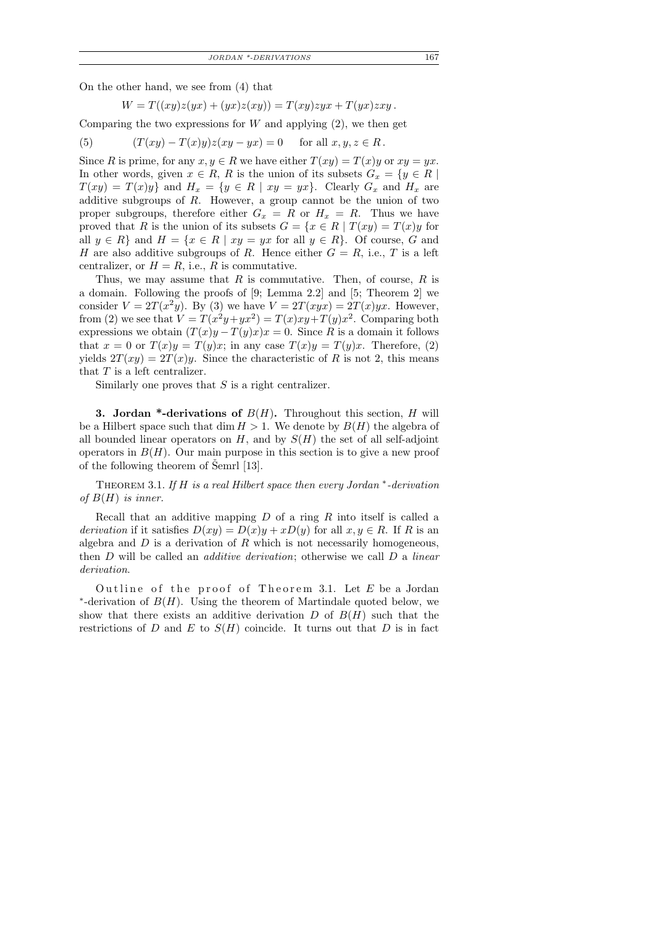On the other hand, we see from (4) that

$$
W = T((xy)z(yx) + (yx)z(xy)) = T(xy)zyx + T(yx)zxy.
$$

Comparing the two expressions for  $W$  and applying  $(2)$ , we then get

(5) 
$$
(T(xy) - T(x)y)z(xy - yx) = 0 \text{ for all } x, y, z \in R.
$$

Since R is prime, for any  $x, y \in R$  we have either  $T(xy) = T(x)y$  or  $xy = yx$ . In other words, given  $x \in R$ , R is the union of its subsets  $G_x = \{y \in R \mid$  $T(xy) = T(x)y$  and  $H_x = \{y \in R \mid xy = yx\}$ . Clearly  $G_x$  and  $H_x$  are additive subgroups of  $R$ . However, a group cannot be the union of two proper subgroups, therefore either  $G_x = R$  or  $H_x = R$ . Thus we have proved that R is the union of its subsets  $G = \{x \in R \mid T(xy) = T(x)y \text{ for }$ all  $y \in R$  and  $H = \{x \in R \mid xy = yx$  for all  $y \in R$ . Of course, G and H are also additive subgroups of R. Hence either  $G = R$ , i.e., T is a left centralizer, or  $H = R$ , i.e., R is commutative.

Thus, we may assume that  $R$  is commutative. Then, of course,  $R$  is a domain. Following the proofs of [9; Lemma 2.2] and [5; Theorem 2] we consider  $V = 2T(x^2y)$ . By (3) we have  $V = 2T(xyx) = 2T(x)yx$ . However, from (2) we see that  $V = T(x^2y + yx^2) = T(x)xy + T(y)x^2$ . Comparing both expressions we obtain  $(T(x)y - T(y)x)x = 0$ . Since R is a domain it follows that  $x = 0$  or  $T(x)y = T(y)x$ ; in any case  $T(x)y = T(y)x$ . Therefore, (2) yields  $2T(xy) = 2T(x)y$ . Since the characteristic of R is not 2, this means that  $T$  is a left centralizer.

Similarly one proves that  $S$  is a right centralizer.

**3.** Jordan \*-derivations of  $B(H)$ . Throughout this section, H will be a Hilbert space such that dim  $H > 1$ . We denote by  $B(H)$  the algebra of all bounded linear operators on  $H$ , and by  $S(H)$  the set of all self-adjoint operators in  $B(H)$ . Our main purpose in this section is to give a new proof of the following theorem of  $\text{Semrl }[13]$ .

THEOREM 3.1. If  $H$  is a real Hilbert space then every Jordan  $*$ -derivation of  $B(H)$  is inner.

Recall that an additive mapping  $D$  of a ring  $R$  into itself is called a derivation if it satisfies  $D(xy) = D(x)y + xD(y)$  for all  $x, y \in R$ . If R is an algebra and  $D$  is a derivation of  $R$  which is not necessarily homogeneous, then  $D$  will be called an *additive derivation*; otherwise we call  $D$  a *linear* derivation.

Outline of the proof of Theorem 3.1. Let  $E$  be a Jordan \*-derivation of  $B(H)$ . Using the theorem of Martindale quoted below, we show that there exists an additive derivation  $D$  of  $B(H)$  such that the restrictions of D and E to  $S(H)$  coincide. It turns out that D is in fact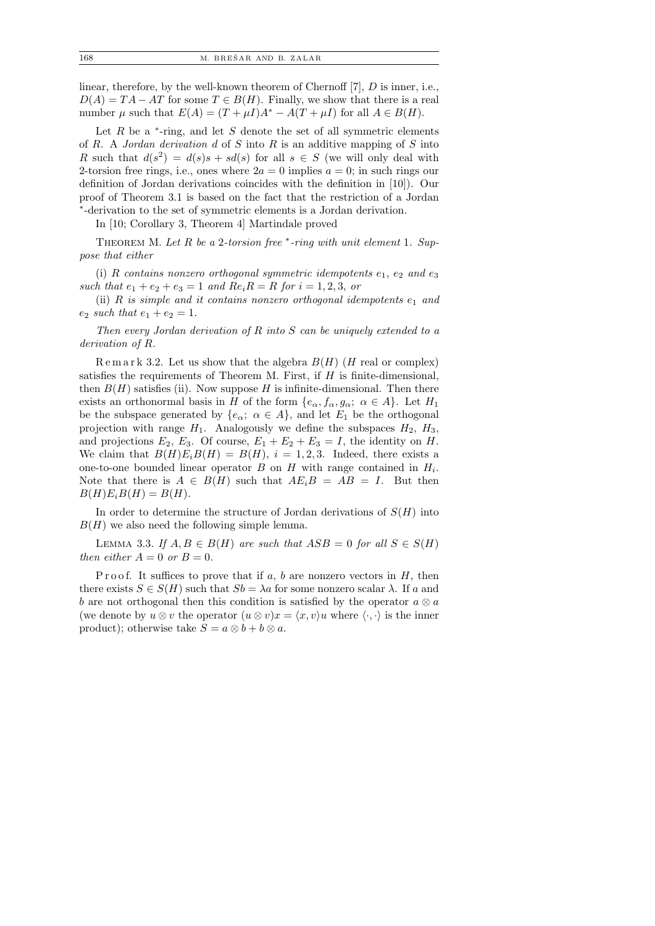linear, therefore, by the well-known theorem of Chernoff [7], D is inner, i.e.,  $D(A) = TA - AT$  for some  $T \in B(H)$ . Finally, we show that there is a real number  $\mu$  such that  $E(A) = (T + \mu I)A^* - A(T + \mu I)$  for all  $A \in B(H)$ .

Let  $R$  be a  $*$ -ring, and let  $S$  denote the set of all symmetric elements of R. A Jordan derivation d of S into R is an additive mapping of S into R such that  $d(s^2) = d(s)s + sd(s)$  for all  $s \in S$  (we will only deal with 2-torsion free rings, i.e., ones where  $2a = 0$  implies  $a = 0$ ; in such rings our definition of Jordan derivations coincides with the definition in [10]). Our proof of Theorem 3.1 is based on the fact that the restriction of a Jordan ∗ -derivation to the set of symmetric elements is a Jordan derivation.

In [10; Corollary 3, Theorem 4] Martindale proved

THEOREM M. Let  $R$  be a 2-torsion free  $*$ -ring with unit element 1. Suppose that either

(i) R contains nonzero orthogonal symmetric idempotents  $e_1, e_2$  and  $e_3$ such that  $e_1 + e_2 + e_3 = 1$  and  $Re_i R = R$  for  $i = 1, 2, 3,$  or

(ii) R is simple and it contains nonzero orthogonal idempotents  $e_1$  and  $e_2$  such that  $e_1 + e_2 = 1$ .

Then every Jordan derivation of R into S can be uniquely extended to a derivation of R.

Remark 3.2. Let us show that the algebra  $B(H)$  (H real or complex) satisfies the requirements of Theorem M. First, if  $H$  is finite-dimensional, then  $B(H)$  satisfies (ii). Now suppose H is infinite-dimensional. Then there exists an orthonormal basis in H of the form  $\{e_{\alpha}, f_{\alpha}, g_{\alpha}; \alpha \in A\}$ . Let  $H_1$ be the subspace generated by  $\{e_{\alpha}; \alpha \in A\}$ , and let  $E_1$  be the orthogonal projection with range  $H_1$ . Analogously we define the subspaces  $H_2$ ,  $H_3$ , and projections  $E_2$ ,  $E_3$ . Of course,  $E_1 + E_2 + E_3 = I$ , the identity on H. We claim that  $B(H)E_iB(H) = B(H)$ ,  $i = 1, 2, 3$ . Indeed, there exists a one-to-one bounded linear operator  $B$  on  $H$  with range contained in  $H_i$ . Note that there is  $A \in B(H)$  such that  $AE_iB = AB = I$ . But then  $B(H)E_iB(H) = B(H).$ 

In order to determine the structure of Jordan derivations of  $S(H)$  into  $B(H)$  we also need the following simple lemma.

LEMMA 3.3. If  $A, B \in B(H)$  are such that  $ASB = 0$  for all  $S \in S(H)$ then either  $A = 0$  or  $B = 0$ .

P r o o f. It suffices to prove that if a, b are nonzero vectors in  $H$ , then there exists  $S \in S(H)$  such that  $Sb = \lambda a$  for some nonzero scalar  $\lambda$ . If a and b are not orthogonal then this condition is satisfied by the operator  $a \otimes a$ (we denote by  $u \otimes v$  the operator  $(u \otimes v)x = \langle x, v \rangle u$  where  $\langle \cdot, \cdot \rangle$  is the inner product); otherwise take  $S = a \otimes b + b \otimes a$ .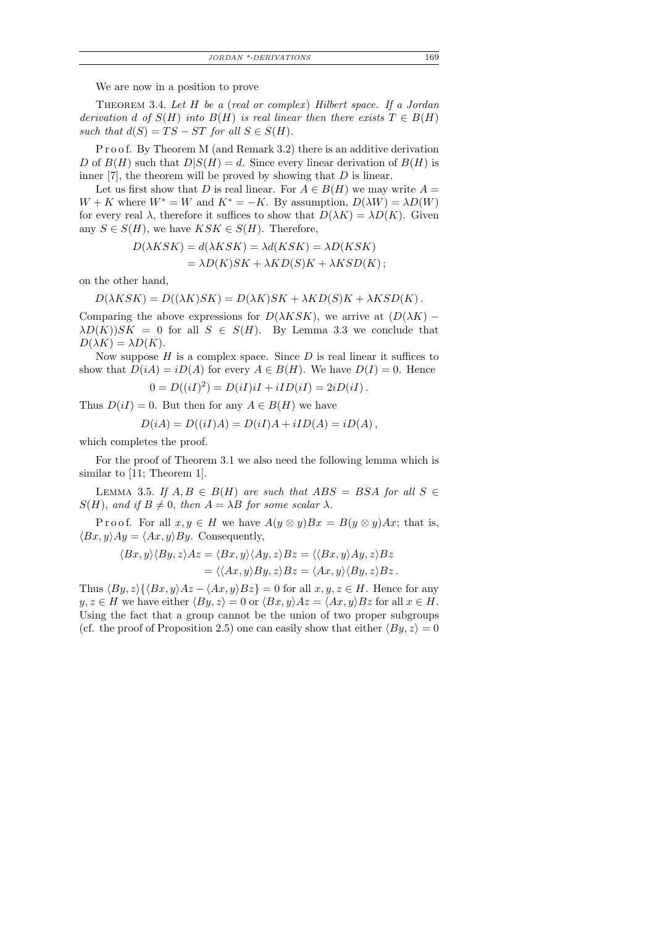We are now in a position to prove

THEOREM 3.4. Let  $H$  be a (real or complex) Hilbert space. If a Jordan derivation d of  $S(H)$  into  $B(H)$  is real linear then there exists  $T \in B(H)$ such that  $d(S) = TS - ST$  for all  $S \in S(H)$ .

P r o o f. By Theorem M (and Remark 3.2) there is an additive derivation D of  $B(H)$  such that  $D|S(H) = d$ . Since every linear derivation of  $B(H)$  is inner  $[7]$ , the theorem will be proved by showing that  $D$  is linear.

Let us first show that D is real linear. For  $A \in B(H)$  we may write  $A =$  $W + K$  where  $W^* = W$  and  $K^* = -K$ . By assumption,  $D(\lambda W) = \lambda D(W)$ for every real  $\lambda$ , therefore it suffices to show that  $D(\lambda K) = \lambda D(K)$ . Given any  $S \in S(H)$ , we have  $KSK \in S(H)$ . Therefore,

$$
D(\lambda KSK) = d(\lambda KSK) = \lambda d(KSK) = \lambda D(KSK)
$$
  
=  $\lambda D(K)SK + \lambda KD(S)K + \lambda KSD(K);$ 

on the other hand,

$$
D(\lambda KSK) = D((\lambda K)SK) = D(\lambda K)SK + \lambda KD(S)K + \lambda KSD(K).
$$

Comparing the above expressions for  $D(\lambda KSK)$ , we arrive at  $(D(\lambda K) \lambda D(K)$ ) $SK = 0$  for all  $S \in S(H)$ . By Lemma 3.3 we conclude that  $D(\lambda K) = \lambda D(K).$ 

Now suppose  $H$  is a complex space. Since  $D$  is real linear it suffices to show that  $D(iA) = iD(A)$  for every  $A \in B(H)$ . We have  $D(I) = 0$ . Hence

$$
0 = D((iI)^{2}) = D(iI)iI + iID(iI) = 2iD(iI).
$$

Thus  $D(iI) = 0$ . But then for any  $A \in B(H)$  we have

$$
D(iA) = D((iI)A) = D(iI)A + iID(A) = iD(A),
$$

which completes the proof.

For the proof of Theorem 3.1 we also need the following lemma which is similar to [11; Theorem 1].

LEMMA 3.5. If  $A, B \in B(H)$  are such that  $ABS = BSA$  for all  $S \in$  $S(H)$ , and if  $B \neq 0$ , then  $A = \lambda B$  for some scalar  $\lambda$ .

P r o o f. For all  $x, y \in H$  we have  $A(y \otimes y)Bx = B(y \otimes y)Ax$ ; that is,  $\langle Bx, y \rangle Ay = \langle Ax, y \rangle By.$  Consequently,

$$
\langle Bx, y \rangle \langle By, z \rangle Az = \langle Bx, y \rangle \langle Ay, z \rangle Bz = \langle \langle Bx, y \rangle Ay, z \rangle Bz = \langle \langle Ax, y \rangle By, z \rangle Bz = \langle Ax, y \rangle \langle By, z \rangle Bz.
$$

Thus  $\langle By, z \rangle \{ \langle Bx, y \rangle Az - \langle Ax, y \rangle Bz \} = 0$  for all  $x, y, z \in H$ . Hence for any  $y, z \in H$  we have either  $\langle By, z \rangle = 0$  or  $\langle Bx, y \rangle Az = \langle Ax, y \rangle Bz$  for all  $x \in H$ . Using the fact that a group cannot be the union of two proper subgroups (cf. the proof of Proposition 2.5) one can easily show that either  $\langle By, z \rangle = 0$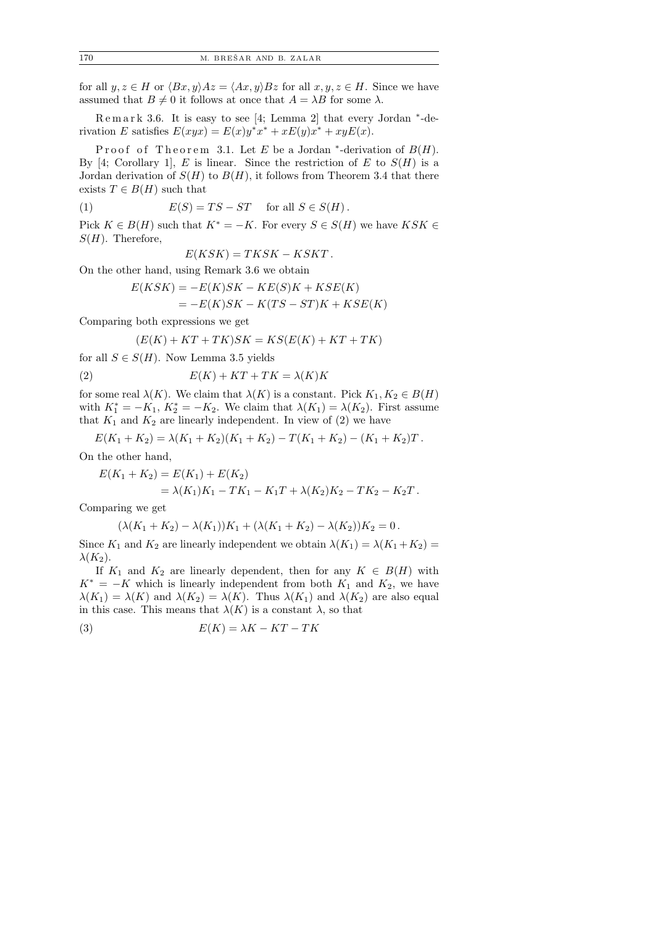for all  $y, z \in H$  or  $\langle Bx, y \rangle Az = \langle Ax, y \rangle Bz$  for all  $x, y, z \in H$ . Since we have assumed that  $B \neq 0$  it follows at once that  $A = \lambda B$  for some  $\lambda$ .

Remark 3.6. It is easy to see [4; Lemma 2] that every Jordan <sup>\*</sup>-derivation E satisfies  $E(xyx) = E(x)y^*x^* + xE(y)x^* + xyE(x)$ .

Proof of Theorem 3.1. Let E be a Jordan \*-derivation of  $B(H)$ . By [4; Corollary 1], E is linear. Since the restriction of E to  $S(H)$  is a Jordan derivation of  $S(H)$  to  $B(H)$ , it follows from Theorem 3.4 that there exists  $T \in B(H)$  such that

(1) 
$$
E(S) = TS - ST \quad \text{for all } S \in S(H).
$$

Pick  $K \in B(H)$  such that  $K^* = -K$ . For every  $S \in S(H)$  we have  $KSK \in$  $S(H)$ . Therefore,

$$
E(KSK) = TKSK - KSKT.
$$

On the other hand, using Remark 3.6 we obtain

$$
E(KSK) = -E(K)SK - KE(S)K + KSE(K)
$$
  
= 
$$
-E(K)SK - K(TS - ST)K + KSE(K)
$$

Comparing both expressions we get

$$
(E(K) + KT + TK)SK = KS(E(K) + KT + TK)
$$

for all  $S \in S(H)$ . Now Lemma 3.5 yields

$$
(2) \tE(K) + KT + TK = \lambda(K)K
$$

for some real  $\lambda(K)$ . We claim that  $\lambda(K)$  is a constant. Pick  $K_1, K_2 \in B(H)$ with  $K_1^* = -K_1$ ,  $K_2^* = -K_2$ . We claim that  $\lambda(K_1) = \lambda(K_2)$ . First assume that  $K_1$  and  $K_2$  are linearly independent. In view of (2) we have

$$
E(K_1 + K_2) = \lambda (K_1 + K_2)(K_1 + K_2) - T(K_1 + K_2) - (K_1 + K_2)T.
$$

On the other hand,

$$
E(K_1 + K_2) = E(K_1) + E(K_2)
$$
  
=  $\lambda(K_1)K_1 - TK_1 - K_1T + \lambda(K_2)K_2 - TK_2 - K_2T$ .

Comparing we get

$$
(\lambda(K_1 + K_2) - \lambda(K_1))K_1 + (\lambda(K_1 + K_2) - \lambda(K_2))K_2 = 0.
$$

Since  $K_1$  and  $K_2$  are linearly independent we obtain  $\lambda(K_1) = \lambda(K_1 + K_2)$  $\lambda(K_2)$ .

If  $K_1$  and  $K_2$  are linearly dependent, then for any  $K \in B(H)$  with  $K^* = -K$  which is linearly independent from both  $K_1$  and  $K_2$ , we have  $\lambda(K_1) = \lambda(K)$  and  $\lambda(K_2) = \lambda(K)$ . Thus  $\lambda(K_1)$  and  $\lambda(K_2)$  are also equal in this case. This means that  $\lambda(K)$  is a constant  $\lambda$ , so that

$$
(3) \tE(K) = \lambda K - KT - TK
$$